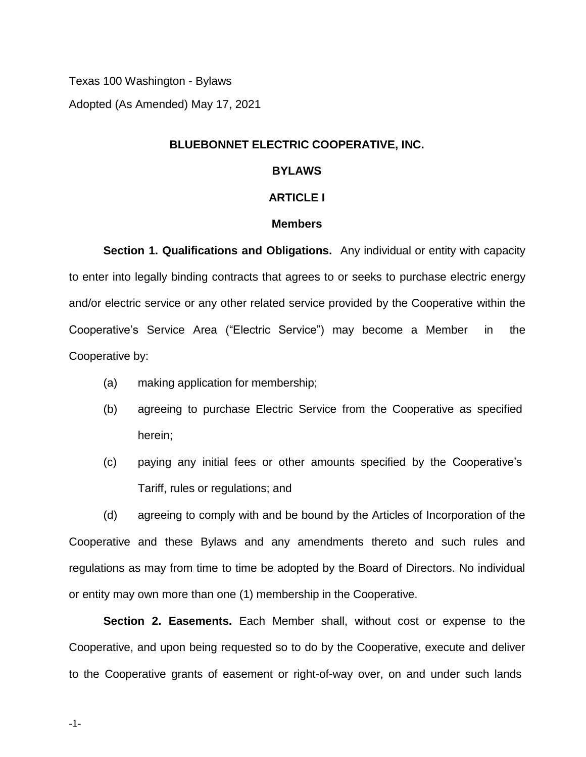Texas 100 Washington - Bylaws Adopted (As Amended) May 17, 2021

# **BLUEBONNET ELECTRIC COOPERATIVE, INC.**

## **BYLAWS**

### **ARTICLE I**

## **Members**

**Section 1. Qualifications and Obligations.** Any individual or entity with capacity to enter into legally binding contracts that agrees to or seeks to purchase electric energy and/or electric service or any other related service provided by the Cooperative within the Cooperative's Service Area ("Electric Service") may become a Member in the Cooperative by:

- (a) making application for membership;
- (b) agreeing to purchase Electric Service from the Cooperative as specified herein;
- (c) paying any initial fees or other amounts specified by the Cooperative's Tariff, rules or regulations; and

(d) agreeing to comply with and be bound by the Articles of Incorporation of the Cooperative and these Bylaws and any amendments thereto and such rules and regulations as may from time to time be adopted by the Board of Directors. No individual or entity may own more than one (1) membership in the Cooperative.

**Section 2. Easements.** Each Member shall, without cost or expense to the Cooperative, and upon being requested so to do by the Cooperative, execute and deliver to the Cooperative grants of easement or right-of-way over, on and under such lands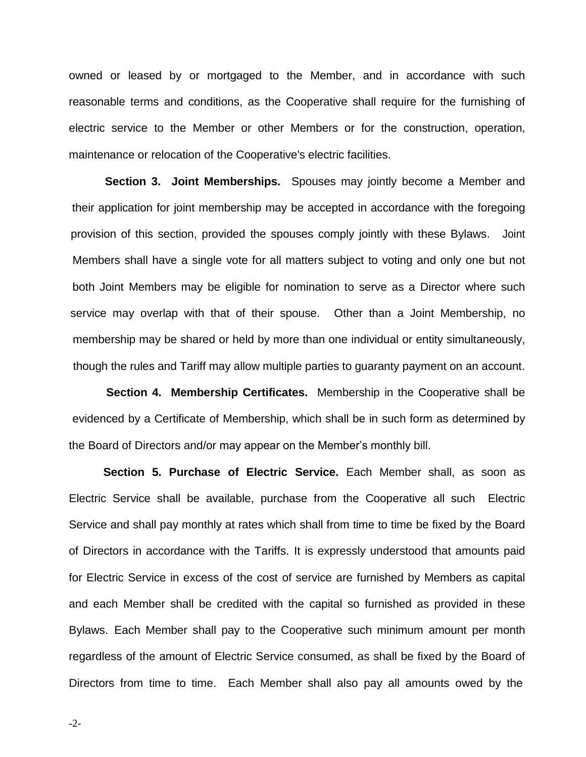owned or leased by or mortgaged to the Member, and in accordance with such reasonable terms and conditions, as the Cooperative shall require for the furnishing of electric service to the Member or other Members or for the construction, operation, maintenance or relocation of the Cooperative's electric facilities.

**Section 3. Joint Memberships.** Spouses may jointly become a Member and their application for joint membership may be accepted in accordance with the foregoing provision of this section, provided the spouses comply jointly with these Bylaws. Joint Members shall have a single vote for all matters subject to voting and only one but not both Joint Members may be eligible for nomination to serve as a Director where such service may overlap with that of their spouse. Other than a Joint Membership, no membership may be shared or held by more than one individual or entity simultaneously, though the rules and Tariff may allow multiple parties to guaranty payment on an account.

**Section 4. Membership Certificates.** Membership in the Cooperative shall be evidenced by a Certificate of Membership, which shall be in such form as determined by the Board of Directors and/or may appear on the Member's monthly bill.

**Section 5. Purchase of Electric Service.** Each Member shall, as soon as Electric Service shall be available, purchase from the Cooperative all such Electric Service and shall pay monthly at rates which shall from time to time be fixed by the Board of Directors in accordance with the Tariffs. It is expressly understood that amounts paid for Electric Service in excess of the cost of service are furnished by Members as capital and each Member shall be credited with the capital so furnished as provided in these Bylaws. Each Member shall pay to the Cooperative such minimum amount per month regardless of the amount of Electric Service consumed, as shall be fixed by the Board of Directors from time to time. Each Member shall also pay all amounts owed by the

-2-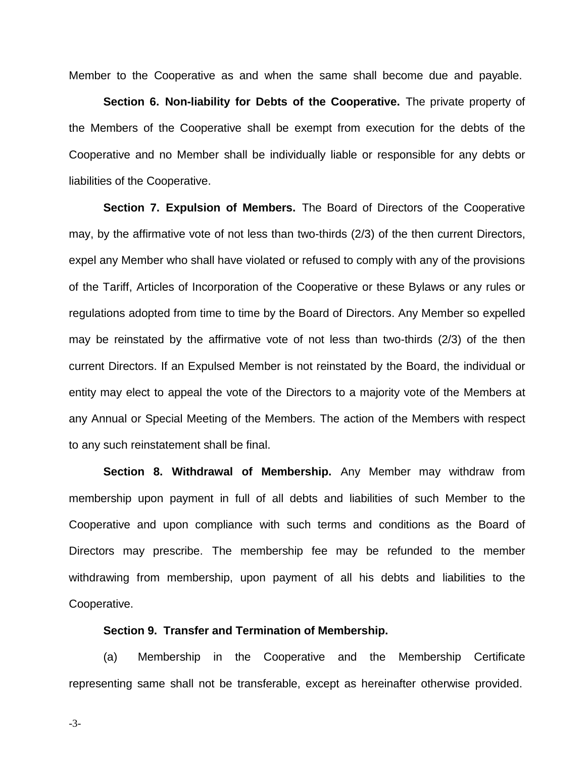Member to the Cooperative as and when the same shall become due and payable.

**Section 6. Non-liability for Debts of the Cooperative.** The private property of the Members of the Cooperative shall be exempt from execution for the debts of the Cooperative and no Member shall be individually liable or responsible for any debts or liabilities of the Cooperative.

**Section 7. Expulsion of Members.** The Board of Directors of the Cooperative may, by the affirmative vote of not less than two-thirds (2/3) of the then current Directors, expel any Member who shall have violated or refused to comply with any of the provisions of the Tariff, Articles of Incorporation of the Cooperative or these Bylaws or any rules or regulations adopted from time to time by the Board of Directors. Any Member so expelled may be reinstated by the affirmative vote of not less than two-thirds (2/3) of the then current Directors. If an Expulsed Member is not reinstated by the Board, the individual or entity may elect to appeal the vote of the Directors to a majority vote of the Members at any Annual or Special Meeting of the Members. The action of the Members with respect to any such reinstatement shall be final.

**Section 8. Withdrawal of Membership.** Any Member may withdraw from membership upon payment in full of all debts and liabilities of such Member to the Cooperative and upon compliance with such terms and conditions as the Board of Directors may prescribe. The membership fee may be refunded to the member withdrawing from membership, upon payment of all his debts and liabilities to the Cooperative.

# **Section 9. Transfer and Termination of Membership.**

(a) Membership in the Cooperative and the Membership Certificate representing same shall not be transferable, except as hereinafter otherwise provided.

-3-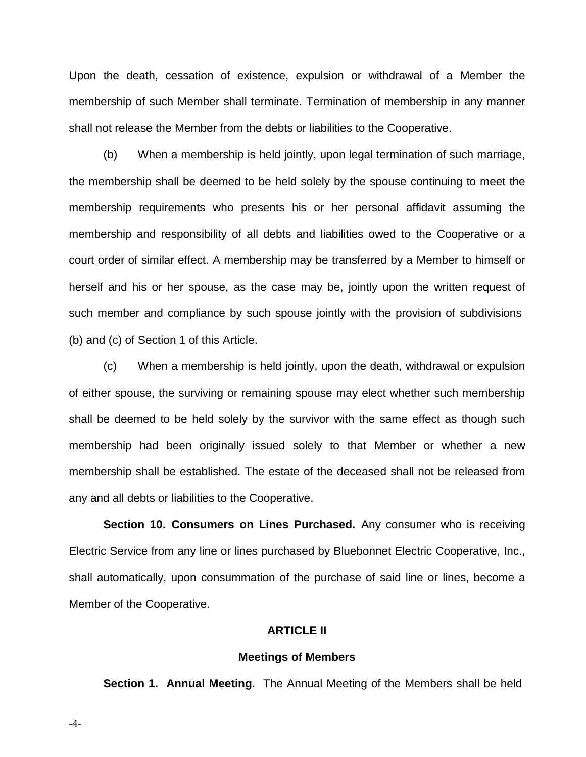Upon the death, cessation of existence, expulsion or withdrawal of a Member the membership of such Member shall terminate. Termination of membership in any manner shall not release the Member from the debts or liabilities to the Cooperative.

(b) When a membership is held jointly, upon legal termination of such marriage, the membership shall be deemed to be held solely by the spouse continuing to meet the membership requirements who presents his or her personal affidavit assuming the membership and responsibility of all debts and liabilities owed to the Cooperative or a court order of similar effect. A membership may be transferred by a Member to himself or herself and his or her spouse, as the case may be, jointly upon the written request of such member and compliance by such spouse jointly with the provision of subdivisions (b) and (c) of Section 1 of this Article.

(c) When a membership is held jointly, upon the death, withdrawal or expulsion of either spouse, the surviving or remaining spouse may elect whether such membership shall be deemed to be held solely by the survivor with the same effect as though such membership had been originally issued solely to that Member or whether a new membership shall be established. The estate of the deceased shall not be released from any and all debts or liabilities to the Cooperative.

**Section 10. Consumers on Lines Purchased.** Any consumer who is receiving Electric Service from any line or lines purchased by Bluebonnet Electric Cooperative, Inc., shall automatically, upon consummation of the purchase of said line or lines, become a Member of the Cooperative.

# **ARTICLE II**

## **Meetings of Members**

**Section 1. Annual Meeting.** The Annual Meeting of the Members shall be held

-4-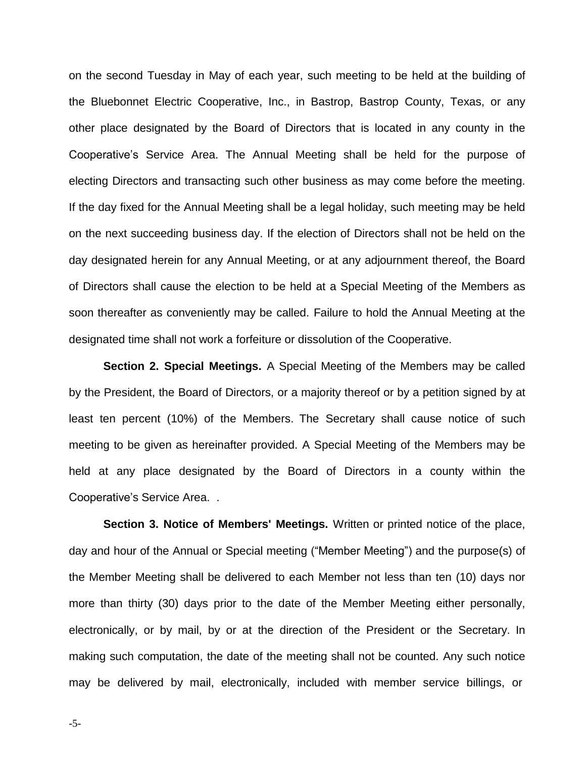on the second Tuesday in May of each year, such meeting to be held at the building of the Bluebonnet Electric Cooperative, Inc., in Bastrop, Bastrop County, Texas, or any other place designated by the Board of Directors that is located in any county in the Cooperative's Service Area. The Annual Meeting shall be held for the purpose of electing Directors and transacting such other business as may come before the meeting. If the day fixed for the Annual Meeting shall be a legal holiday, such meeting may be held on the next succeeding business day. If the election of Directors shall not be held on the day designated herein for any Annual Meeting, or at any adjournment thereof, the Board of Directors shall cause the election to be held at a Special Meeting of the Members as soon thereafter as conveniently may be called. Failure to hold the Annual Meeting at the designated time shall not work a forfeiture or dissolution of the Cooperative.

**Section 2. Special Meetings.** A Special Meeting of the Members may be called by the President, the Board of Directors, or a majority thereof or by a petition signed by at least ten percent (10%) of the Members. The Secretary shall cause notice of such meeting to be given as hereinafter provided. A Special Meeting of the Members may be held at any place designated by the Board of Directors in a county within the Cooperative's Service Area. .

**Section 3. Notice of Members' Meetings.** Written or printed notice of the place, day and hour of the Annual or Special meeting ("Member Meeting") and the purpose(s) of the Member Meeting shall be delivered to each Member not less than ten (10) days nor more than thirty (30) days prior to the date of the Member Meeting either personally, electronically, or by mail, by or at the direction of the President or the Secretary. In making such computation, the date of the meeting shall not be counted. Any such notice may be delivered by mail, electronically, included with member service billings, or

-5-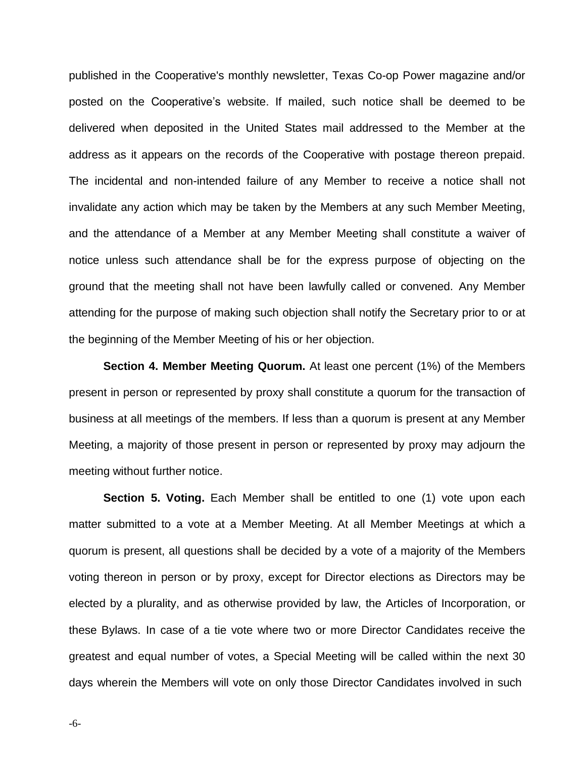published in the Cooperative's monthly newsletter, Texas Co-op Power magazine and/or posted on the Cooperative's website. If mailed, such notice shall be deemed to be delivered when deposited in the United States mail addressed to the Member at the address as it appears on the records of the Cooperative with postage thereon prepaid. The incidental and non-intended failure of any Member to receive a notice shall not invalidate any action which may be taken by the Members at any such Member Meeting, and the attendance of a Member at any Member Meeting shall constitute a waiver of notice unless such attendance shall be for the express purpose of objecting on the ground that the meeting shall not have been lawfully called or convened. Any Member attending for the purpose of making such objection shall notify the Secretary prior to or at the beginning of the Member Meeting of his or her objection.

**Section 4. Member Meeting Quorum.** At least one percent (1%) of the Members present in person or represented by proxy shall constitute a quorum for the transaction of business at all meetings of the members. If less than a quorum is present at any Member Meeting, a majority of those present in person or represented by proxy may adjourn the meeting without further notice.

**Section 5. Voting.** Each Member shall be entitled to one (1) vote upon each matter submitted to a vote at a Member Meeting. At all Member Meetings at which a quorum is present, all questions shall be decided by a vote of a majority of the Members voting thereon in person or by proxy, except for Director elections as Directors may be elected by a plurality, and as otherwise provided by law, the Articles of Incorporation, or these Bylaws. In case of a tie vote where two or more Director Candidates receive the greatest and equal number of votes, a Special Meeting will be called within the next 30 days wherein the Members will vote on only those Director Candidates involved in such

-6-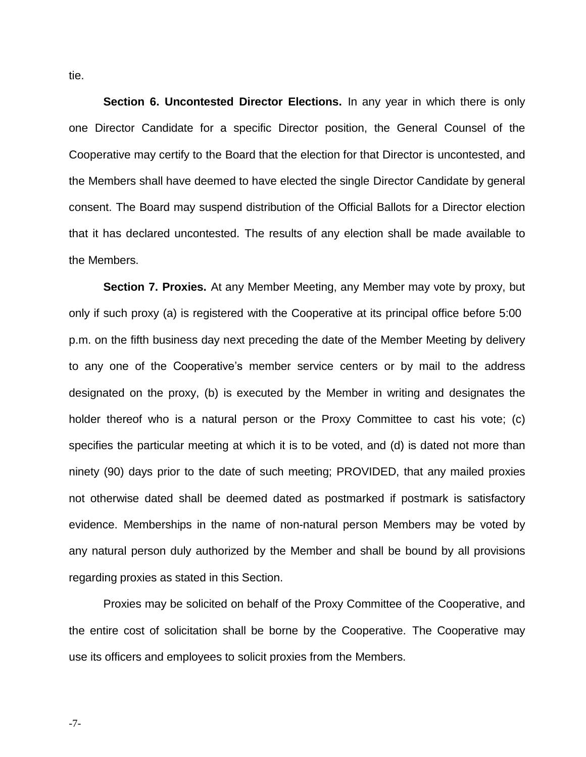tie.

**Section 6. Uncontested Director Elections.** In any year in which there is only one Director Candidate for a specific Director position, the General Counsel of the Cooperative may certify to the Board that the election for that Director is uncontested, and the Members shall have deemed to have elected the single Director Candidate by general consent. The Board may suspend distribution of the Official Ballots for a Director election that it has declared uncontested. The results of any election shall be made available to the Members.

**Section 7. Proxies.** At any Member Meeting, any Member may vote by proxy, but only if such proxy (a) is registered with the Cooperative at its principal office before 5:00 p.m. on the fifth business day next preceding the date of the Member Meeting by delivery to any one of the Cooperative's member service centers or by mail to the address designated on the proxy, (b) is executed by the Member in writing and designates the holder thereof who is a natural person or the Proxy Committee to cast his vote; (c) specifies the particular meeting at which it is to be voted, and (d) is dated not more than ninety (90) days prior to the date of such meeting; PROVIDED, that any mailed proxies not otherwise dated shall be deemed dated as postmarked if postmark is satisfactory evidence. Memberships in the name of non-natural person Members may be voted by any natural person duly authorized by the Member and shall be bound by all provisions regarding proxies as stated in this Section.

Proxies may be solicited on behalf of the Proxy Committee of the Cooperative, and the entire cost of solicitation shall be borne by the Cooperative. The Cooperative may use its officers and employees to solicit proxies from the Members.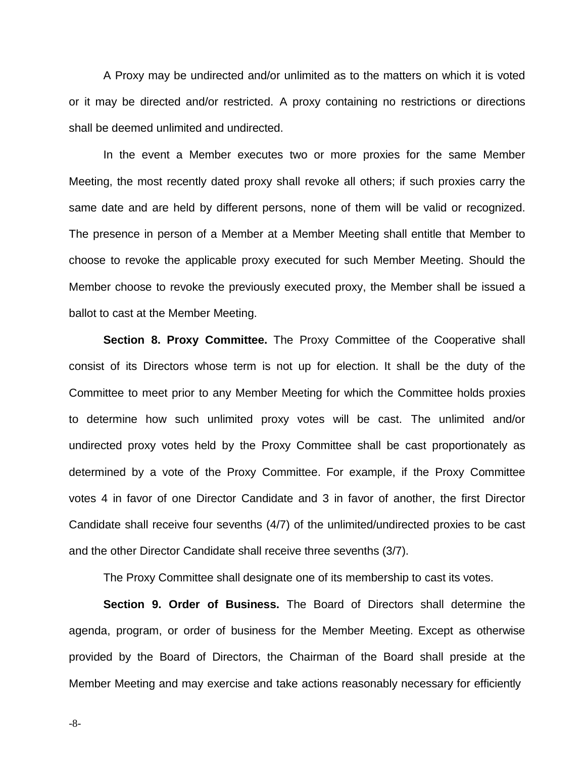A Proxy may be undirected and/or unlimited as to the matters on which it is voted or it may be directed and/or restricted. A proxy containing no restrictions or directions shall be deemed unlimited and undirected.

In the event a Member executes two or more proxies for the same Member Meeting, the most recently dated proxy shall revoke all others; if such proxies carry the same date and are held by different persons, none of them will be valid or recognized. The presence in person of a Member at a Member Meeting shall entitle that Member to choose to revoke the applicable proxy executed for such Member Meeting. Should the Member choose to revoke the previously executed proxy, the Member shall be issued a ballot to cast at the Member Meeting.

**Section 8. Proxy Committee.** The Proxy Committee of the Cooperative shall consist of its Directors whose term is not up for election. It shall be the duty of the Committee to meet prior to any Member Meeting for which the Committee holds proxies to determine how such unlimited proxy votes will be cast. The unlimited and/or undirected proxy votes held by the Proxy Committee shall be cast proportionately as determined by a vote of the Proxy Committee. For example, if the Proxy Committee votes 4 in favor of one Director Candidate and 3 in favor of another, the first Director Candidate shall receive four sevenths (4/7) of the unlimited/undirected proxies to be cast and the other Director Candidate shall receive three sevenths (3/7).

The Proxy Committee shall designate one of its membership to cast its votes.

**Section 9. Order of Business.** The Board of Directors shall determine the agenda, program, or order of business for the Member Meeting. Except as otherwise provided by the Board of Directors, the Chairman of the Board shall preside at the Member Meeting and may exercise and take actions reasonably necessary for efficiently

-8-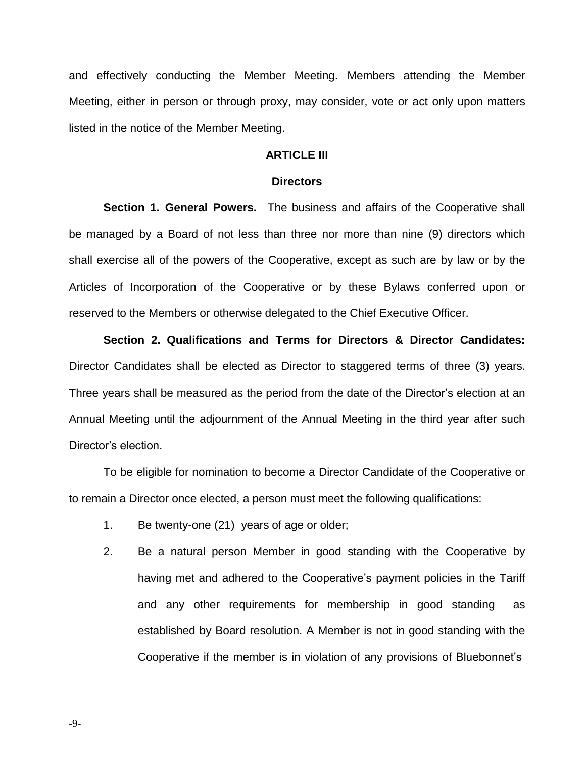and effectively conducting the Member Meeting. Members attending the Member Meeting, either in person or through proxy, may consider, vote or act only upon matters listed in the notice of the Member Meeting.

## **ARTICLE III**

#### **Directors**

**Section 1. General Powers.** The business and affairs of the Cooperative shall be managed by a Board of not less than three nor more than nine (9) directors which shall exercise all of the powers of the Cooperative, except as such are by law or by the Articles of Incorporation of the Cooperative or by these Bylaws conferred upon or reserved to the Members or otherwise delegated to the Chief Executive Officer.

**Section 2. Qualifications and Terms for Directors & Director Candidates:** Director Candidates shall be elected as Director to staggered terms of three (3) years. Three years shall be measured as the period from the date of the Director's election at an Annual Meeting until the adjournment of the Annual Meeting in the third year after such Director's election.

To be eligible for nomination to become a Director Candidate of the Cooperative or to remain a Director once elected, a person must meet the following qualifications:

- 1. Be twenty-one (21) years of age or older;
- 2. Be a natural person Member in good standing with the Cooperative by having met and adhered to the Cooperative's payment policies in the Tariff and any other requirements for membership in good standing as established by Board resolution. A Member is not in good standing with the Cooperative if the member is in violation of any provisions of Bluebonnet's

-9-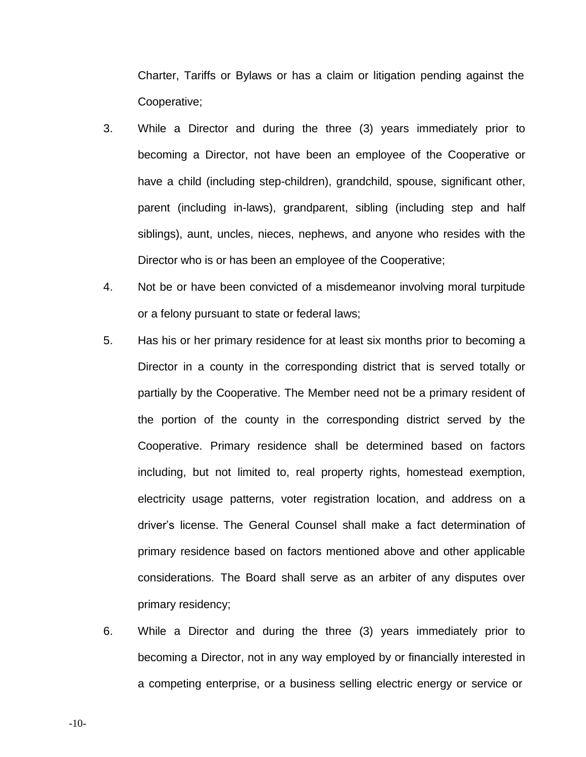Charter, Tariffs or Bylaws or has a claim or litigation pending against the Cooperative;

- 3. While a Director and during the three (3) years immediately prior to becoming a Director, not have been an employee of the Cooperative or have a child (including step-children), grandchild, spouse, significant other, parent (including in-laws), grandparent, sibling (including step and half siblings), aunt, uncles, nieces, nephews, and anyone who resides with the Director who is or has been an employee of the Cooperative;
- 4. Not be or have been convicted of a misdemeanor involving moral turpitude or a felony pursuant to state or federal laws;
- 5. Has his or her primary residence for at least six months prior to becoming a Director in a county in the corresponding district that is served totally or partially by the Cooperative. The Member need not be a primary resident of the portion of the county in the corresponding district served by the Cooperative. Primary residence shall be determined based on factors including, but not limited to, real property rights, homestead exemption, electricity usage patterns, voter registration location, and address on a driver's license. The General Counsel shall make a fact determination of primary residence based on factors mentioned above and other applicable considerations. The Board shall serve as an arbiter of any disputes over primary residency;
- 6. While a Director and during the three (3) years immediately prior to becoming a Director, not in any way employed by or financially interested in a competing enterprise, or a business selling electric energy or service or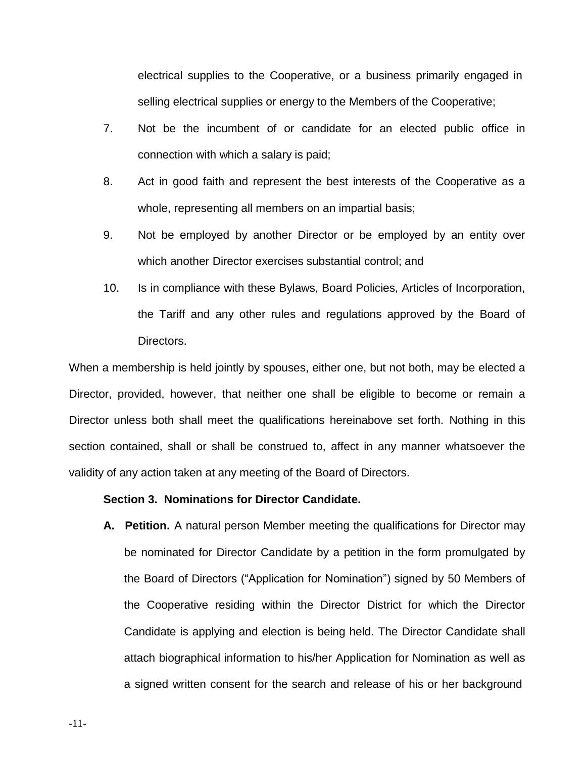electrical supplies to the Cooperative, or a business primarily engaged in selling electrical supplies or energy to the Members of the Cooperative;

- 7. Not be the incumbent of or candidate for an elected public office in connection with which a salary is paid;
- 8. Act in good faith and represent the best interests of the Cooperative as a whole, representing all members on an impartial basis;
- 9. Not be employed by another Director or be employed by an entity over which another Director exercises substantial control; and
- 10. Is in compliance with these Bylaws, Board Policies, Articles of Incorporation, the Tariff and any other rules and regulations approved by the Board of Directors.

When a membership is held jointly by spouses, either one, but not both, may be elected a Director, provided, however, that neither one shall be eligible to become or remain a Director unless both shall meet the qualifications hereinabove set forth. Nothing in this section contained, shall or shall be construed to, affect in any manner whatsoever the validity of any action taken at any meeting of the Board of Directors.

# **Section 3. Nominations for Director Candidate.**

**A. Petition.** A natural person Member meeting the qualifications for Director may be nominated for Director Candidate by a petition in the form promulgated by the Board of Directors ("Application for Nomination") signed by 50 Members of the Cooperative residing within the Director District for which the Director Candidate is applying and election is being held. The Director Candidate shall attach biographical information to his/her Application for Nomination as well as a signed written consent for the search and release of his or her background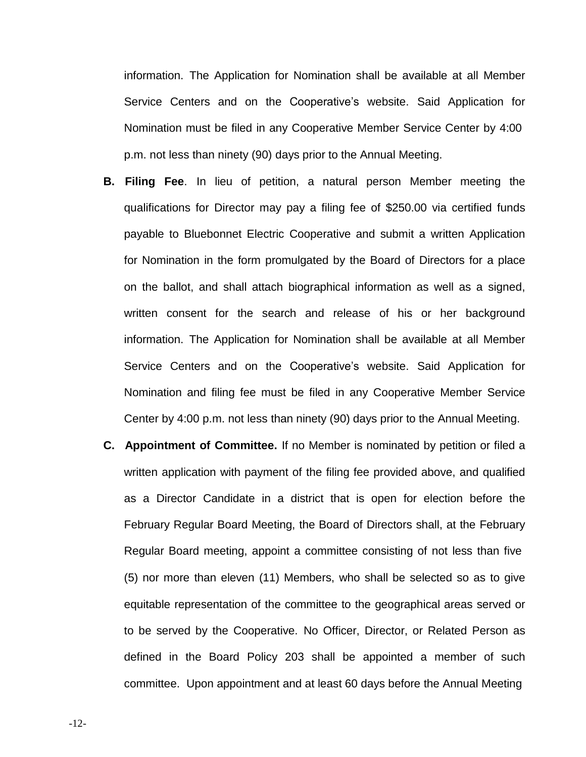information. The Application for Nomination shall be available at all Member Service Centers and on the Cooperative's website. Said Application for Nomination must be filed in any Cooperative Member Service Center by 4:00 p.m. not less than ninety (90) days prior to the Annual Meeting.

- **B. Filing Fee**. In lieu of petition, a natural person Member meeting the qualifications for Director may pay a filing fee of \$250.00 via certified funds payable to Bluebonnet Electric Cooperative and submit a written Application for Nomination in the form promulgated by the Board of Directors for a place on the ballot, and shall attach biographical information as well as a signed, written consent for the search and release of his or her background information. The Application for Nomination shall be available at all Member Service Centers and on the Cooperative's website. Said Application for Nomination and filing fee must be filed in any Cooperative Member Service Center by 4:00 p.m. not less than ninety (90) days prior to the Annual Meeting.
- **C. Appointment of Committee.** If no Member is nominated by petition or filed a written application with payment of the filing fee provided above, and qualified as a Director Candidate in a district that is open for election before the February Regular Board Meeting, the Board of Directors shall, at the February Regular Board meeting, appoint a committee consisting of not less than five (5) nor more than eleven (11) Members, who shall be selected so as to give equitable representation of the committee to the geographical areas served or to be served by the Cooperative. No Officer, Director, or Related Person as defined in the Board Policy 203 shall be appointed a member of such committee. Upon appointment and at least 60 days before the Annual Meeting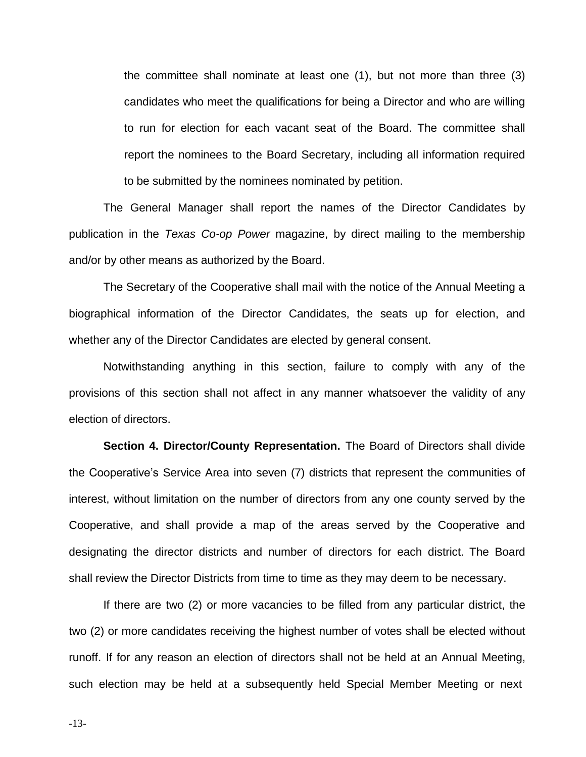the committee shall nominate at least one (1), but not more than three (3) candidates who meet the qualifications for being a Director and who are willing to run for election for each vacant seat of the Board. The committee shall report the nominees to the Board Secretary, including all information required to be submitted by the nominees nominated by petition.

The General Manager shall report the names of the Director Candidates by publication in the *Texas Co-op Power* magazine, by direct mailing to the membership and/or by other means as authorized by the Board.

The Secretary of the Cooperative shall mail with the notice of the Annual Meeting a biographical information of the Director Candidates, the seats up for election, and whether any of the Director Candidates are elected by general consent.

Notwithstanding anything in this section, failure to comply with any of the provisions of this section shall not affect in any manner whatsoever the validity of any election of directors.

**Section 4. Director/County Representation.** The Board of Directors shall divide the Cooperative's Service Area into seven (7) districts that represent the communities of interest, without limitation on the number of directors from any one county served by the Cooperative, and shall provide a map of the areas served by the Cooperative and designating the director districts and number of directors for each district. The Board shall review the Director Districts from time to time as they may deem to be necessary.

If there are two (2) or more vacancies to be filled from any particular district, the two (2) or more candidates receiving the highest number of votes shall be elected without runoff. If for any reason an election of directors shall not be held at an Annual Meeting, such election may be held at a subsequently held Special Member Meeting or next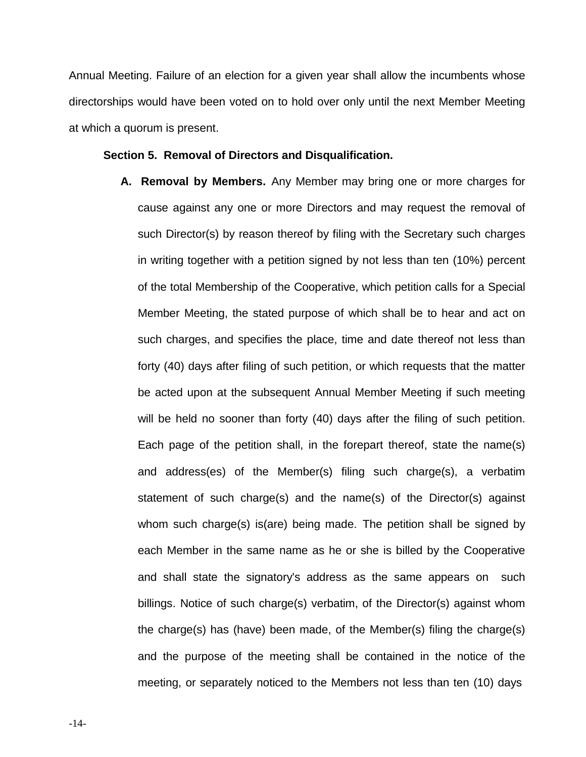Annual Meeting. Failure of an election for a given year shall allow the incumbents whose directorships would have been voted on to hold over only until the next Member Meeting at which a quorum is present.

# **Section 5. Removal of Directors and Disqualification.**

**A. Removal by Members.** Any Member may bring one or more charges for cause against any one or more Directors and may request the removal of such Director(s) by reason thereof by filing with the Secretary such charges in writing together with a petition signed by not less than ten (10%) percent of the total Membership of the Cooperative, which petition calls for a Special Member Meeting, the stated purpose of which shall be to hear and act on such charges, and specifies the place, time and date thereof not less than forty (40) days after filing of such petition, or which requests that the matter be acted upon at the subsequent Annual Member Meeting if such meeting will be held no sooner than forty (40) days after the filing of such petition. Each page of the petition shall, in the forepart thereof, state the name(s) and address(es) of the Member(s) filing such charge(s), a verbatim statement of such charge(s) and the name(s) of the Director(s) against whom such charge(s) is(are) being made. The petition shall be signed by each Member in the same name as he or she is billed by the Cooperative and shall state the signatory's address as the same appears on such billings. Notice of such charge(s) verbatim, of the Director(s) against whom the charge(s) has (have) been made, of the Member(s) filing the charge(s) and the purpose of the meeting shall be contained in the notice of the meeting, or separately noticed to the Members not less than ten (10) days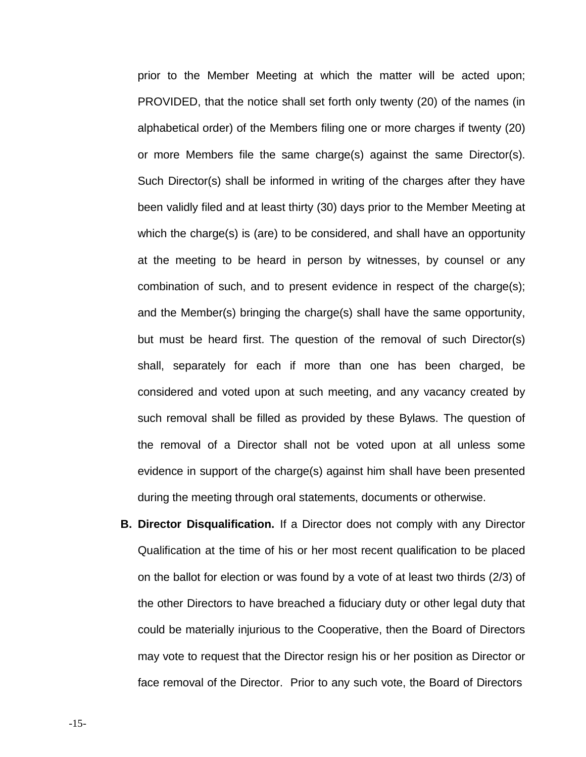prior to the Member Meeting at which the matter will be acted upon; PROVIDED, that the notice shall set forth only twenty (20) of the names (in alphabetical order) of the Members filing one or more charges if twenty (20) or more Members file the same charge(s) against the same Director(s). Such Director(s) shall be informed in writing of the charges after they have been validly filed and at least thirty (30) days prior to the Member Meeting at which the charge(s) is (are) to be considered, and shall have an opportunity at the meeting to be heard in person by witnesses, by counsel or any combination of such, and to present evidence in respect of the charge(s); and the Member(s) bringing the charge(s) shall have the same opportunity, but must be heard first. The question of the removal of such Director(s) shall, separately for each if more than one has been charged, be considered and voted upon at such meeting, and any vacancy created by such removal shall be filled as provided by these Bylaws. The question of the removal of a Director shall not be voted upon at all unless some evidence in support of the charge(s) against him shall have been presented during the meeting through oral statements, documents or otherwise.

**B. Director Disqualification.** If a Director does not comply with any Director Qualification at the time of his or her most recent qualification to be placed on the ballot for election or was found by a vote of at least two thirds (2/3) of the other Directors to have breached a fiduciary duty or other legal duty that could be materially injurious to the Cooperative, then the Board of Directors may vote to request that the Director resign his or her position as Director or face removal of the Director. Prior to any such vote, the Board of Directors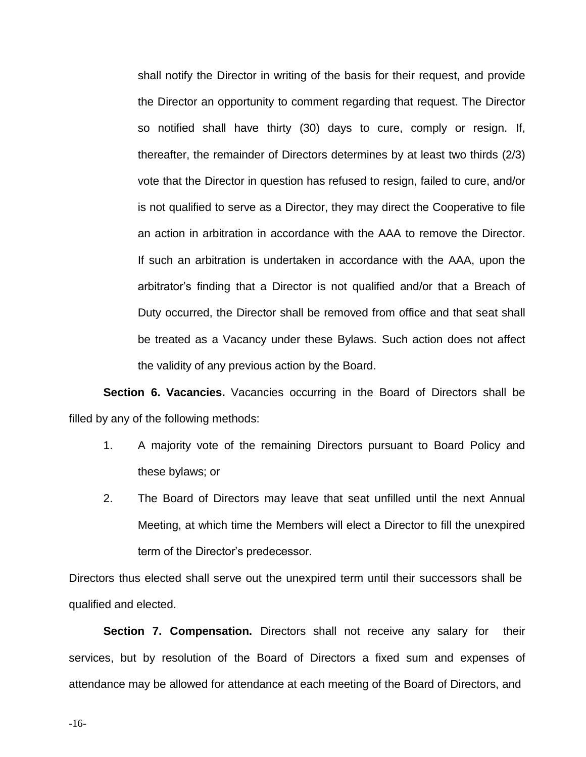shall notify the Director in writing of the basis for their request, and provide the Director an opportunity to comment regarding that request. The Director so notified shall have thirty (30) days to cure, comply or resign. If, thereafter, the remainder of Directors determines by at least two thirds (2/3) vote that the Director in question has refused to resign, failed to cure, and/or is not qualified to serve as a Director, they may direct the Cooperative to file an action in arbitration in accordance with the AAA to remove the Director. If such an arbitration is undertaken in accordance with the AAA, upon the arbitrator's finding that a Director is not qualified and/or that a Breach of Duty occurred, the Director shall be removed from office and that seat shall be treated as a Vacancy under these Bylaws. Such action does not affect the validity of any previous action by the Board.

**Section 6. Vacancies.** Vacancies occurring in the Board of Directors shall be filled by any of the following methods:

- 1. A majority vote of the remaining Directors pursuant to Board Policy and these bylaws; or
- 2. The Board of Directors may leave that seat unfilled until the next Annual Meeting, at which time the Members will elect a Director to fill the unexpired term of the Director's predecessor.

Directors thus elected shall serve out the unexpired term until their successors shall be qualified and elected.

**Section 7. Compensation.** Directors shall not receive any salary for their services, but by resolution of the Board of Directors a fixed sum and expenses of attendance may be allowed for attendance at each meeting of the Board of Directors, and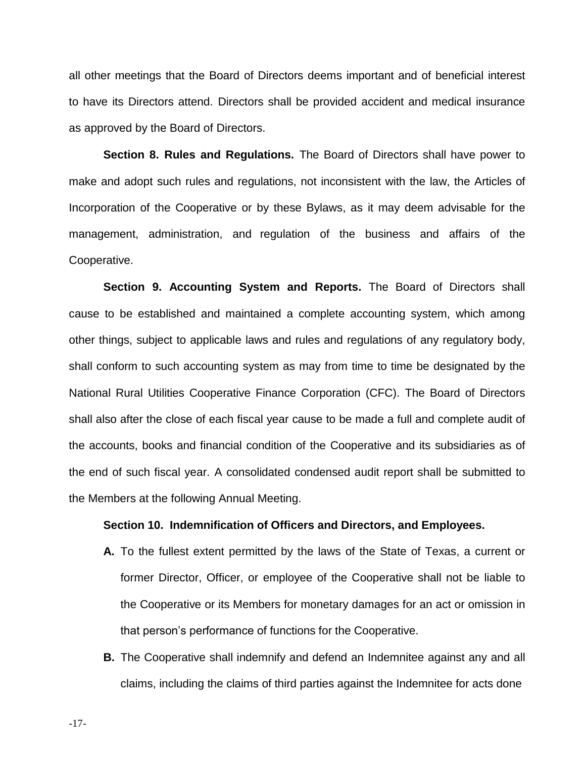all other meetings that the Board of Directors deems important and of beneficial interest to have its Directors attend. Directors shall be provided accident and medical insurance as approved by the Board of Directors.

**Section 8. Rules and Regulations.** The Board of Directors shall have power to make and adopt such rules and regulations, not inconsistent with the law, the Articles of Incorporation of the Cooperative or by these Bylaws, as it may deem advisable for the management, administration, and regulation of the business and affairs of the Cooperative.

**Section 9. Accounting System and Reports.** The Board of Directors shall cause to be established and maintained a complete accounting system, which among other things, subject to applicable laws and rules and regulations of any regulatory body, shall conform to such accounting system as may from time to time be designated by the National Rural Utilities Cooperative Finance Corporation (CFC). The Board of Directors shall also after the close of each fiscal year cause to be made a full and complete audit of the accounts, books and financial condition of the Cooperative and its subsidiaries as of the end of such fiscal year. A consolidated condensed audit report shall be submitted to the Members at the following Annual Meeting.

# **Section 10. Indemnification of Officers and Directors, and Employees.**

- **A.** To the fullest extent permitted by the laws of the State of Texas, a current or former Director, Officer, or employee of the Cooperative shall not be liable to the Cooperative or its Members for monetary damages for an act or omission in that person's performance of functions for the Cooperative.
- **B.** The Cooperative shall indemnify and defend an Indemnitee against any and all claims, including the claims of third parties against the Indemnitee for acts done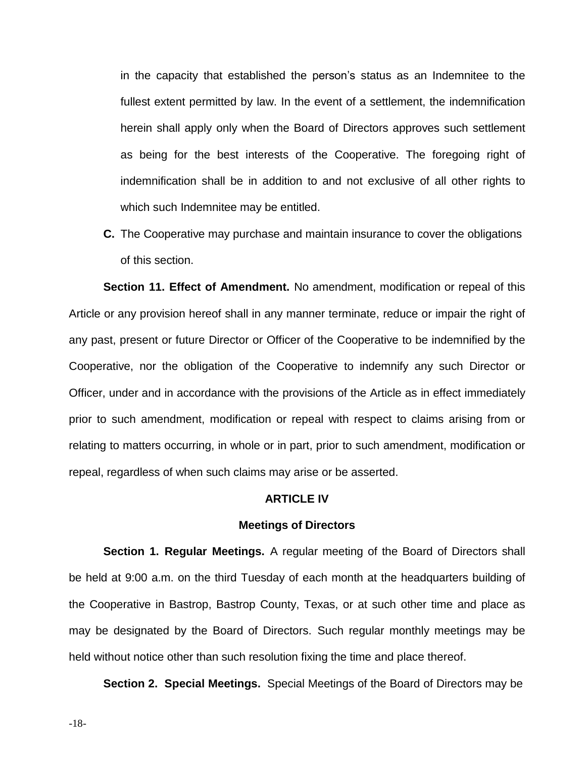in the capacity that established the person's status as an Indemnitee to the fullest extent permitted by law. In the event of a settlement, the indemnification herein shall apply only when the Board of Directors approves such settlement as being for the best interests of the Cooperative. The foregoing right of indemnification shall be in addition to and not exclusive of all other rights to which such Indemnitee may be entitled.

**C.** The Cooperative may purchase and maintain insurance to cover the obligations of this section.

**Section 11. Effect of Amendment.** No amendment, modification or repeal of this Article or any provision hereof shall in any manner terminate, reduce or impair the right of any past, present or future Director or Officer of the Cooperative to be indemnified by the Cooperative, nor the obligation of the Cooperative to indemnify any such Director or Officer, under and in accordance with the provisions of the Article as in effect immediately prior to such amendment, modification or repeal with respect to claims arising from or relating to matters occurring, in whole or in part, prior to such amendment, modification or repeal, regardless of when such claims may arise or be asserted.

## **ARTICLE IV**

### **Meetings of Directors**

**Section 1. Regular Meetings.** A regular meeting of the Board of Directors shall be held at 9:00 a.m. on the third Tuesday of each month at the headquarters building of the Cooperative in Bastrop, Bastrop County, Texas, or at such other time and place as may be designated by the Board of Directors. Such regular monthly meetings may be held without notice other than such resolution fixing the time and place thereof.

**Section 2. Special Meetings.** Special Meetings of the Board of Directors may be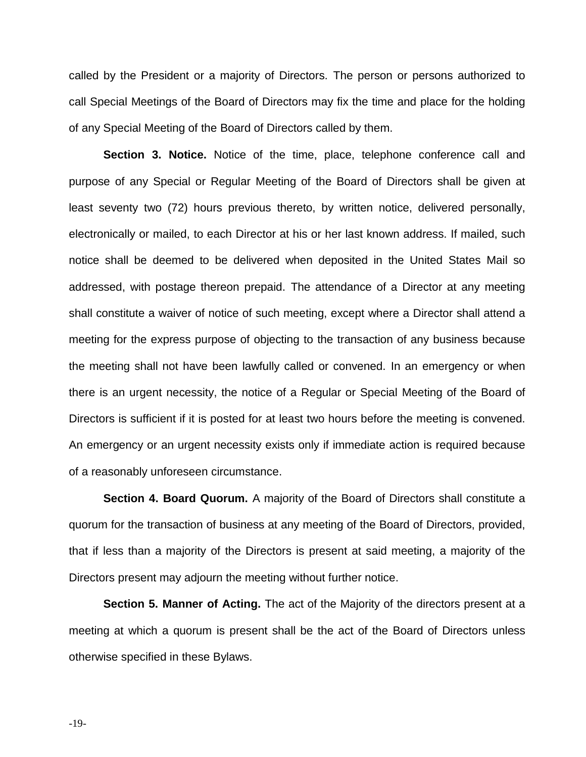called by the President or a majority of Directors. The person or persons authorized to call Special Meetings of the Board of Directors may fix the time and place for the holding of any Special Meeting of the Board of Directors called by them.

**Section 3. Notice.** Notice of the time, place, telephone conference call and purpose of any Special or Regular Meeting of the Board of Directors shall be given at least seventy two (72) hours previous thereto, by written notice, delivered personally, electronically or mailed, to each Director at his or her last known address. If mailed, such notice shall be deemed to be delivered when deposited in the United States Mail so addressed, with postage thereon prepaid. The attendance of a Director at any meeting shall constitute a waiver of notice of such meeting, except where a Director shall attend a meeting for the express purpose of objecting to the transaction of any business because the meeting shall not have been lawfully called or convened. In an emergency or when there is an urgent necessity, the notice of a Regular or Special Meeting of the Board of Directors is sufficient if it is posted for at least two hours before the meeting is convened. An emergency or an urgent necessity exists only if immediate action is required because of a reasonably unforeseen circumstance.

**Section 4. Board Quorum.** A majority of the Board of Directors shall constitute a quorum for the transaction of business at any meeting of the Board of Directors, provided, that if less than a majority of the Directors is present at said meeting, a majority of the Directors present may adjourn the meeting without further notice.

**Section 5. Manner of Acting.** The act of the Majority of the directors present at a meeting at which a quorum is present shall be the act of the Board of Directors unless otherwise specified in these Bylaws.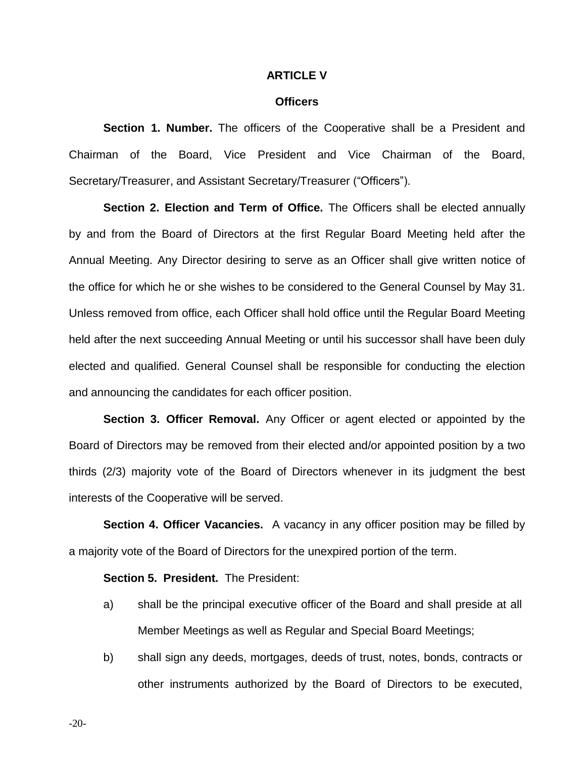## **ARTICLE V**

## **Officers**

**Section 1. Number.** The officers of the Cooperative shall be a President and Chairman of the Board, Vice President and Vice Chairman of the Board, Secretary/Treasurer, and Assistant Secretary/Treasurer ("Officers").

**Section 2. Election and Term of Office.** The Officers shall be elected annually by and from the Board of Directors at the first Regular Board Meeting held after the Annual Meeting. Any Director desiring to serve as an Officer shall give written notice of the office for which he or she wishes to be considered to the General Counsel by May 31. Unless removed from office, each Officer shall hold office until the Regular Board Meeting held after the next succeeding Annual Meeting or until his successor shall have been duly elected and qualified. General Counsel shall be responsible for conducting the election and announcing the candidates for each officer position.

**Section 3. Officer Removal.** Any Officer or agent elected or appointed by the Board of Directors may be removed from their elected and/or appointed position by a two thirds (2/3) majority vote of the Board of Directors whenever in its judgment the best interests of the Cooperative will be served.

**Section 4. Officer Vacancies.** A vacancy in any officer position may be filled by a majority vote of the Board of Directors for the unexpired portion of the term.

## **Section 5. President.** The President:

- a) shall be the principal executive officer of the Board and shall preside at all Member Meetings as well as Regular and Special Board Meetings;
- b) shall sign any deeds, mortgages, deeds of trust, notes, bonds, contracts or other instruments authorized by the Board of Directors to be executed,

-20-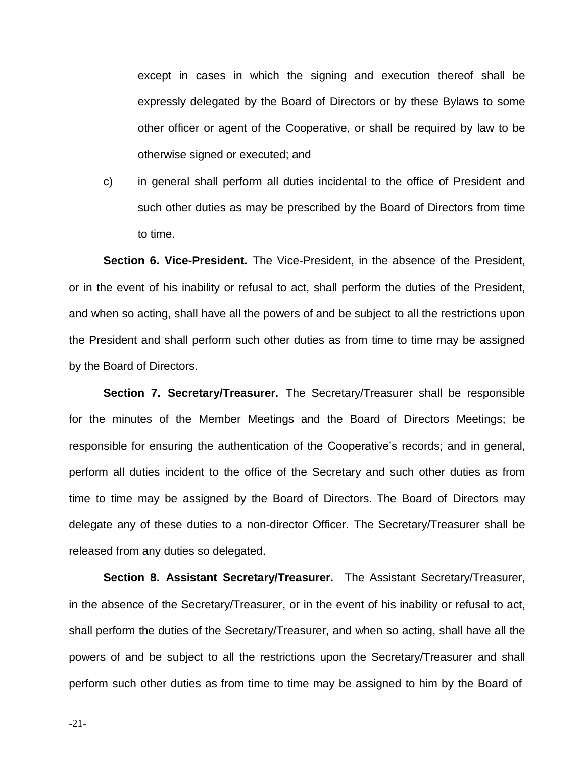except in cases in which the signing and execution thereof shall be expressly delegated by the Board of Directors or by these Bylaws to some other officer or agent of the Cooperative, or shall be required by law to be otherwise signed or executed; and

c) in general shall perform all duties incidental to the office of President and such other duties as may be prescribed by the Board of Directors from time to time.

**Section 6. Vice-President.** The Vice-President, in the absence of the President, or in the event of his inability or refusal to act, shall perform the duties of the President, and when so acting, shall have all the powers of and be subject to all the restrictions upon the President and shall perform such other duties as from time to time may be assigned by the Board of Directors.

**Section 7. Secretary/Treasurer.** The Secretary/Treasurer shall be responsible for the minutes of the Member Meetings and the Board of Directors Meetings; be responsible for ensuring the authentication of the Cooperative's records; and in general, perform all duties incident to the office of the Secretary and such other duties as from time to time may be assigned by the Board of Directors. The Board of Directors may delegate any of these duties to a non-director Officer. The Secretary/Treasurer shall be released from any duties so delegated.

**Section 8. Assistant Secretary/Treasurer.** The Assistant Secretary/Treasurer, in the absence of the Secretary/Treasurer, or in the event of his inability or refusal to act, shall perform the duties of the Secretary/Treasurer, and when so acting, shall have all the powers of and be subject to all the restrictions upon the Secretary/Treasurer and shall perform such other duties as from time to time may be assigned to him by the Board of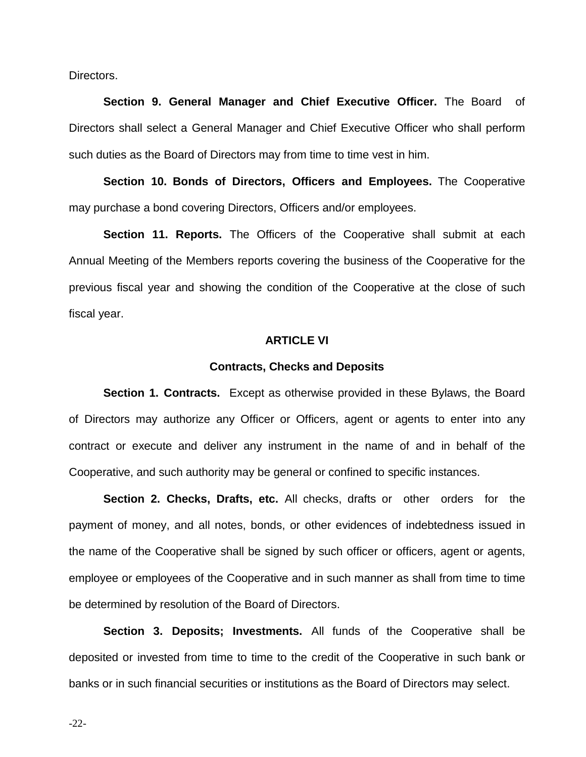Directors.

**Section 9. General Manager and Chief Executive Officer.** The Board of Directors shall select a General Manager and Chief Executive Officer who shall perform such duties as the Board of Directors may from time to time vest in him.

**Section 10. Bonds of Directors, Officers and Employees.** The Cooperative may purchase a bond covering Directors, Officers and/or employees.

**Section 11. Reports.** The Officers of the Cooperative shall submit at each Annual Meeting of the Members reports covering the business of the Cooperative for the previous fiscal year and showing the condition of the Cooperative at the close of such fiscal year.

## **ARTICLE VI**

#### **Contracts, Checks and Deposits**

**Section 1. Contracts.** Except as otherwise provided in these Bylaws, the Board of Directors may authorize any Officer or Officers, agent or agents to enter into any contract or execute and deliver any instrument in the name of and in behalf of the Cooperative, and such authority may be general or confined to specific instances.

**Section 2. Checks, Drafts, etc.** All checks, drafts or other orders for the payment of money, and all notes, bonds, or other evidences of indebtedness issued in the name of the Cooperative shall be signed by such officer or officers, agent or agents, employee or employees of the Cooperative and in such manner as shall from time to time be determined by resolution of the Board of Directors.

**Section 3. Deposits; Investments.** All funds of the Cooperative shall be deposited or invested from time to time to the credit of the Cooperative in such bank or banks or in such financial securities or institutions as the Board of Directors may select.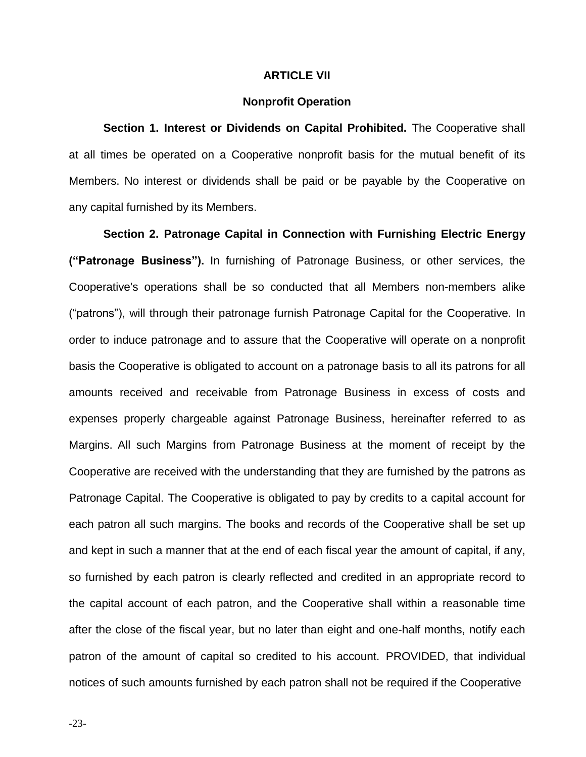# **ARTICLE VII**

#### **Nonprofit Operation**

**Section 1. Interest or Dividends on Capital Prohibited.** The Cooperative shall at all times be operated on a Cooperative nonprofit basis for the mutual benefit of its Members. No interest or dividends shall be paid or be payable by the Cooperative on any capital furnished by its Members.

**Section 2. Patronage Capital in Connection with Furnishing Electric Energy ("Patronage Business").** In furnishing of Patronage Business, or other services, the Cooperative's operations shall be so conducted that all Members non-members alike ("patrons"), will through their patronage furnish Patronage Capital for the Cooperative. In order to induce patronage and to assure that the Cooperative will operate on a nonprofit basis the Cooperative is obligated to account on a patronage basis to all its patrons for all amounts received and receivable from Patronage Business in excess of costs and expenses properly chargeable against Patronage Business, hereinafter referred to as Margins. All such Margins from Patronage Business at the moment of receipt by the Cooperative are received with the understanding that they are furnished by the patrons as Patronage Capital. The Cooperative is obligated to pay by credits to a capital account for each patron all such margins. The books and records of the Cooperative shall be set up and kept in such a manner that at the end of each fiscal year the amount of capital, if any, so furnished by each patron is clearly reflected and credited in an appropriate record to the capital account of each patron, and the Cooperative shall within a reasonable time after the close of the fiscal year, but no later than eight and one-half months, notify each patron of the amount of capital so credited to his account. PROVIDED, that individual notices of such amounts furnished by each patron shall not be required if the Cooperative

-23-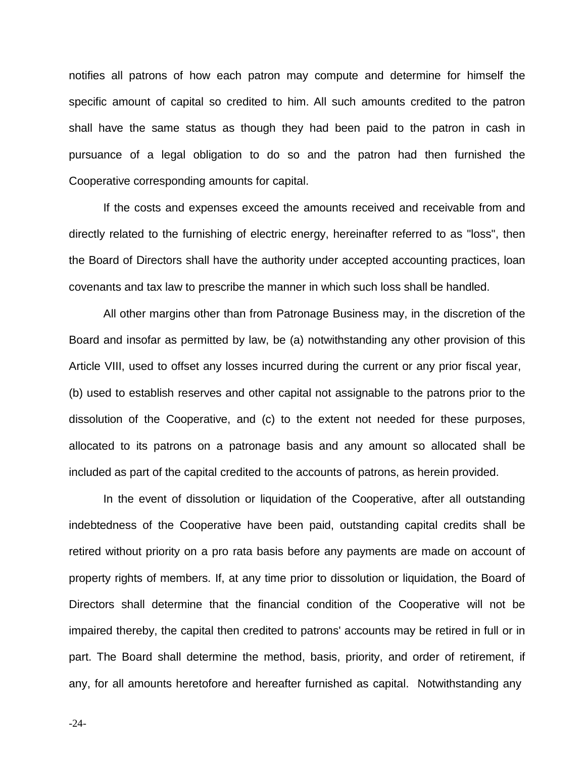notifies all patrons of how each patron may compute and determine for himself the specific amount of capital so credited to him. All such amounts credited to the patron shall have the same status as though they had been paid to the patron in cash in pursuance of a legal obligation to do so and the patron had then furnished the Cooperative corresponding amounts for capital.

If the costs and expenses exceed the amounts received and receivable from and directly related to the furnishing of electric energy, hereinafter referred to as "loss", then the Board of Directors shall have the authority under accepted accounting practices, loan covenants and tax law to prescribe the manner in which such loss shall be handled.

All other margins other than from Patronage Business may, in the discretion of the Board and insofar as permitted by law, be (a) notwithstanding any other provision of this Article VIII, used to offset any losses incurred during the current or any prior fiscal year, (b) used to establish reserves and other capital not assignable to the patrons prior to the dissolution of the Cooperative, and (c) to the extent not needed for these purposes, allocated to its patrons on a patronage basis and any amount so allocated shall be included as part of the capital credited to the accounts of patrons, as herein provided.

In the event of dissolution or liquidation of the Cooperative, after all outstanding indebtedness of the Cooperative have been paid, outstanding capital credits shall be retired without priority on a pro rata basis before any payments are made on account of property rights of members. If, at any time prior to dissolution or liquidation, the Board of Directors shall determine that the financial condition of the Cooperative will not be impaired thereby, the capital then credited to patrons' accounts may be retired in full or in part. The Board shall determine the method, basis, priority, and order of retirement, if any, for all amounts heretofore and hereafter furnished as capital. Notwithstanding any

-24-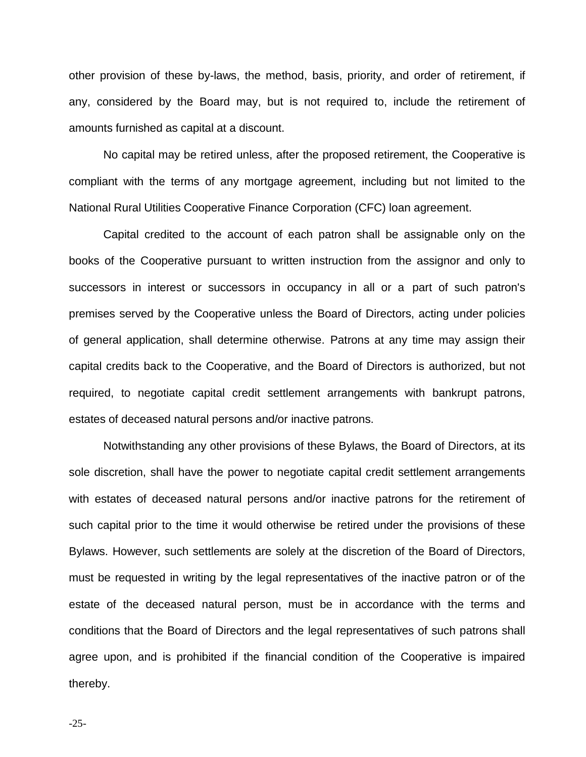other provision of these by-laws, the method, basis, priority, and order of retirement, if any, considered by the Board may, but is not required to, include the retirement of amounts furnished as capital at a discount.

No capital may be retired unless, after the proposed retirement, the Cooperative is compliant with the terms of any mortgage agreement, including but not limited to the National Rural Utilities Cooperative Finance Corporation (CFC) loan agreement.

Capital credited to the account of each patron shall be assignable only on the books of the Cooperative pursuant to written instruction from the assignor and only to successors in interest or successors in occupancy in all or a part of such patron's premises served by the Cooperative unless the Board of Directors, acting under policies of general application, shall determine otherwise. Patrons at any time may assign their capital credits back to the Cooperative, and the Board of Directors is authorized, but not required, to negotiate capital credit settlement arrangements with bankrupt patrons, estates of deceased natural persons and/or inactive patrons.

Notwithstanding any other provisions of these Bylaws, the Board of Directors, at its sole discretion, shall have the power to negotiate capital credit settlement arrangements with estates of deceased natural persons and/or inactive patrons for the retirement of such capital prior to the time it would otherwise be retired under the provisions of these Bylaws. However, such settlements are solely at the discretion of the Board of Directors, must be requested in writing by the legal representatives of the inactive patron or of the estate of the deceased natural person, must be in accordance with the terms and conditions that the Board of Directors and the legal representatives of such patrons shall agree upon, and is prohibited if the financial condition of the Cooperative is impaired thereby.

-25-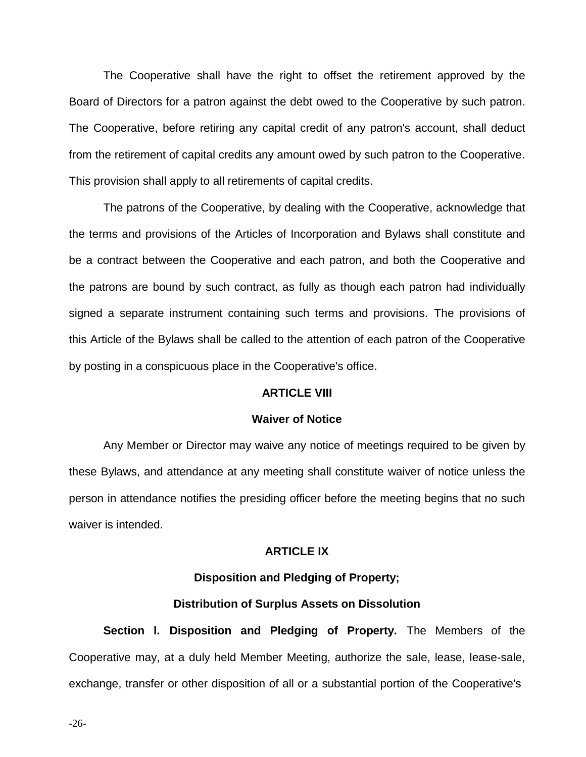The Cooperative shall have the right to offset the retirement approved by the Board of Directors for a patron against the debt owed to the Cooperative by such patron. The Cooperative, before retiring any capital credit of any patron's account, shall deduct from the retirement of capital credits any amount owed by such patron to the Cooperative. This provision shall apply to all retirements of capital credits.

The patrons of the Cooperative, by dealing with the Cooperative, acknowledge that the terms and provisions of the Articles of Incorporation and Bylaws shall constitute and be a contract between the Cooperative and each patron, and both the Cooperative and the patrons are bound by such contract, as fully as though each patron had individually signed a separate instrument containing such terms and provisions. The provisions of this Article of the Bylaws shall be called to the attention of each patron of the Cooperative by posting in a conspicuous place in the Cooperative's office.

# **ARTICLE VIII**

#### **Waiver of Notice**

Any Member or Director may waive any notice of meetings required to be given by these Bylaws, and attendance at any meeting shall constitute waiver of notice unless the person in attendance notifies the presiding officer before the meeting begins that no such waiver is intended.

# **ARTICLE IX**

### **Disposition and Pledging of Property;**

## **Distribution of Surplus Assets on Dissolution**

**Section l. Disposition and Pledging of Property.** The Members of the Cooperative may, at a duly held Member Meeting, authorize the sale, lease, lease-sale, exchange, transfer or other disposition of all or a substantial portion of the Cooperative's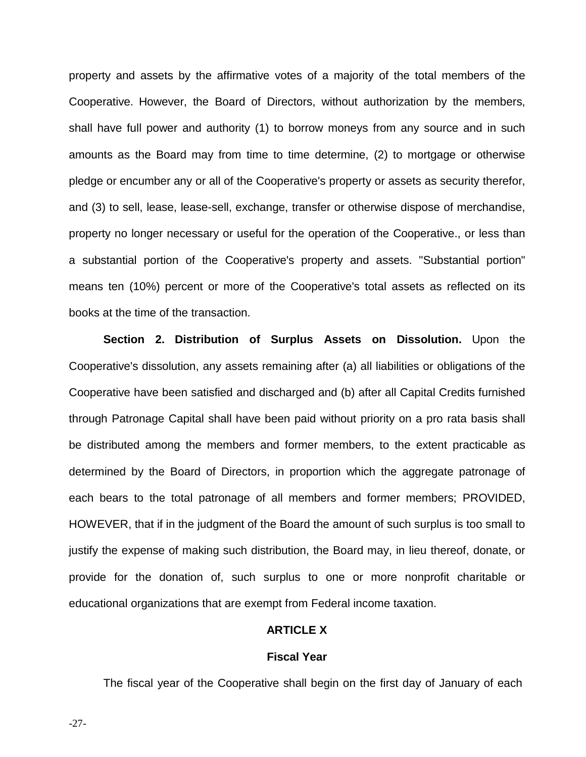property and assets by the affirmative votes of a majority of the total members of the Cooperative. However, the Board of Directors, without authorization by the members, shall have full power and authority (1) to borrow moneys from any source and in such amounts as the Board may from time to time determine, (2) to mortgage or otherwise pledge or encumber any or all of the Cooperative's property or assets as security therefor, and (3) to sell, lease, lease-sell, exchange, transfer or otherwise dispose of merchandise, property no longer necessary or useful for the operation of the Cooperative., or less than a substantial portion of the Cooperative's property and assets. "Substantial portion" means ten (10%) percent or more of the Cooperative's total assets as reflected on its books at the time of the transaction.

**Section 2. Distribution of Surplus Assets on Dissolution.** Upon the Cooperative's dissolution, any assets remaining after (a) all liabilities or obligations of the Cooperative have been satisfied and discharged and (b) after all Capital Credits furnished through Patronage Capital shall have been paid without priority on a pro rata basis shall be distributed among the members and former members, to the extent practicable as determined by the Board of Directors, in proportion which the aggregate patronage of each bears to the total patronage of all members and former members; PROVIDED, HOWEVER, that if in the judgment of the Board the amount of such surplus is too small to justify the expense of making such distribution, the Board may, in lieu thereof, donate, or provide for the donation of, such surplus to one or more nonprofit charitable or educational organizations that are exempt from Federal income taxation.

# **ARTICLE X**

# **Fiscal Year**

The fiscal year of the Cooperative shall begin on the first day of January of each